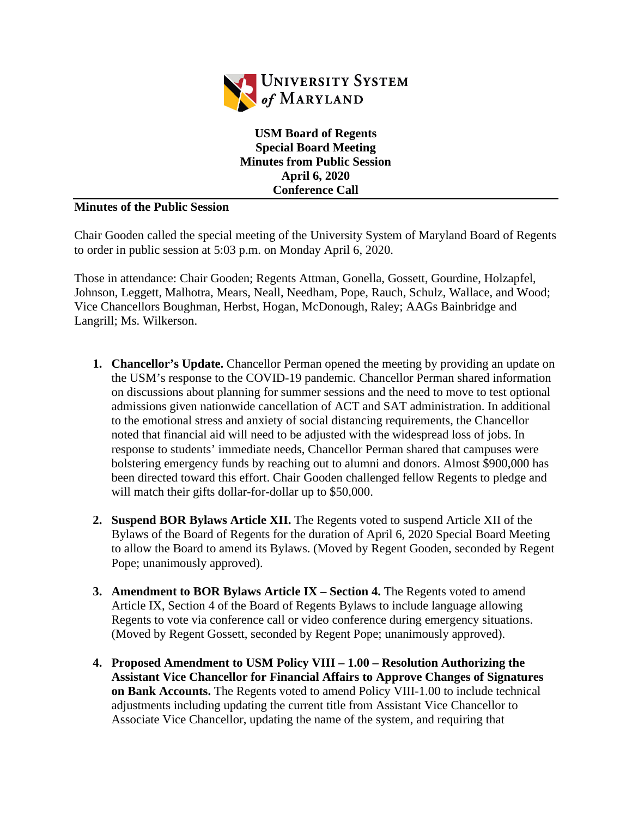

**USM Board of Regents Special Board Meeting Minutes from Public Session April 6, 2020 Conference Call**

## **Minutes of the Public Session**

Chair Gooden called the special meeting of the University System of Maryland Board of Regents to order in public session at 5:03 p.m. on Monday April 6, 2020.

Those in attendance: Chair Gooden; Regents Attman, Gonella, Gossett, Gourdine, Holzapfel, Johnson, Leggett, Malhotra, Mears, Neall, Needham, Pope, Rauch, Schulz, Wallace, and Wood; Vice Chancellors Boughman, Herbst, Hogan, McDonough, Raley; AAGs Bainbridge and Langrill; Ms. Wilkerson.

- **1. Chancellor's Update.** Chancellor Perman opened the meeting by providing an update on the USM's response to the COVID-19 pandemic. Chancellor Perman shared information on discussions about planning for summer sessions and the need to move to test optional admissions given nationwide cancellation of ACT and SAT administration. In additional to the emotional stress and anxiety of social distancing requirements, the Chancellor noted that financial aid will need to be adjusted with the widespread loss of jobs. In response to students' immediate needs, Chancellor Perman shared that campuses were bolstering emergency funds by reaching out to alumni and donors. Almost \$900,000 has been directed toward this effort. Chair Gooden challenged fellow Regents to pledge and will match their gifts dollar-for-dollar up to \$50,000.
- **2. Suspend BOR Bylaws Article XII.** The Regents voted to suspend Article XII of the Bylaws of the Board of Regents for the duration of April 6, 2020 Special Board Meeting to allow the Board to amend its Bylaws. (Moved by Regent Gooden, seconded by Regent Pope; unanimously approved).
- **3. Amendment to BOR Bylaws Article IX Section 4.** The Regents voted to amend Article IX, Section 4 of the Board of Regents Bylaws to include language allowing Regents to vote via conference call or video conference during emergency situations. (Moved by Regent Gossett, seconded by Regent Pope; unanimously approved).
- **4. Proposed Amendment to USM Policy VIII 1.00 Resolution Authorizing the Assistant Vice Chancellor for Financial Affairs to Approve Changes of Signatures on Bank Accounts.** The Regents voted to amend Policy VIII-1.00 to include technical adjustments including updating the current title from Assistant Vice Chancellor to Associate Vice Chancellor, updating the name of the system, and requiring that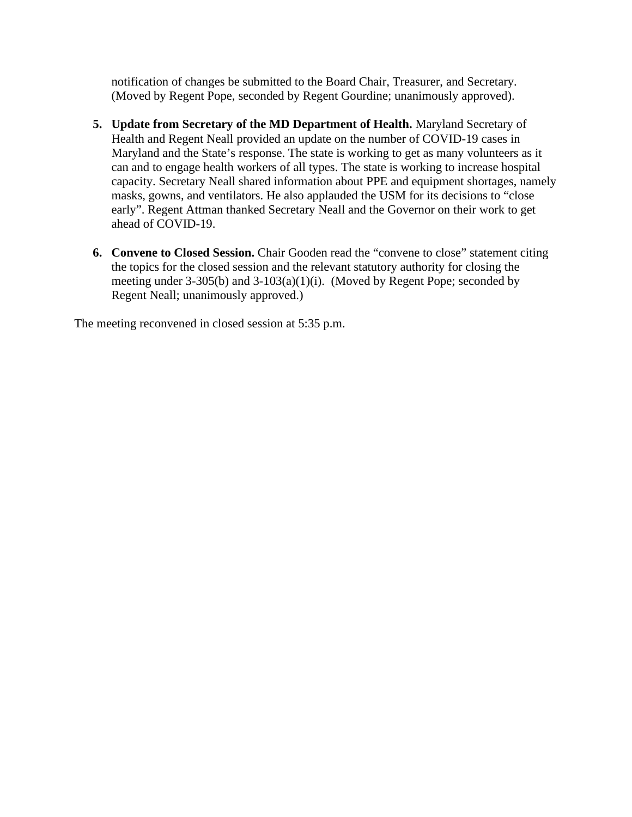notification of changes be submitted to the Board Chair, Treasurer, and Secretary. (Moved by Regent Pope, seconded by Regent Gourdine; unanimously approved).

- **5. Update from Secretary of the MD Department of Health.** Maryland Secretary of Health and Regent Neall provided an update on the number of COVID-19 cases in Maryland and the State's response. The state is working to get as many volunteers as it can and to engage health workers of all types. The state is working to increase hospital capacity. Secretary Neall shared information about PPE and equipment shortages, namely masks, gowns, and ventilators. He also applauded the USM for its decisions to "close early". Regent Attman thanked Secretary Neall and the Governor on their work to get ahead of COVID-19.
- **6. Convene to Closed Session.** Chair Gooden read the "convene to close" statement citing the topics for the closed session and the relevant statutory authority for closing the meeting under  $3-305(b)$  and  $3-103(a)(1)(i)$ . (Moved by Regent Pope; seconded by Regent Neall; unanimously approved.)

The meeting reconvened in closed session at 5:35 p.m.